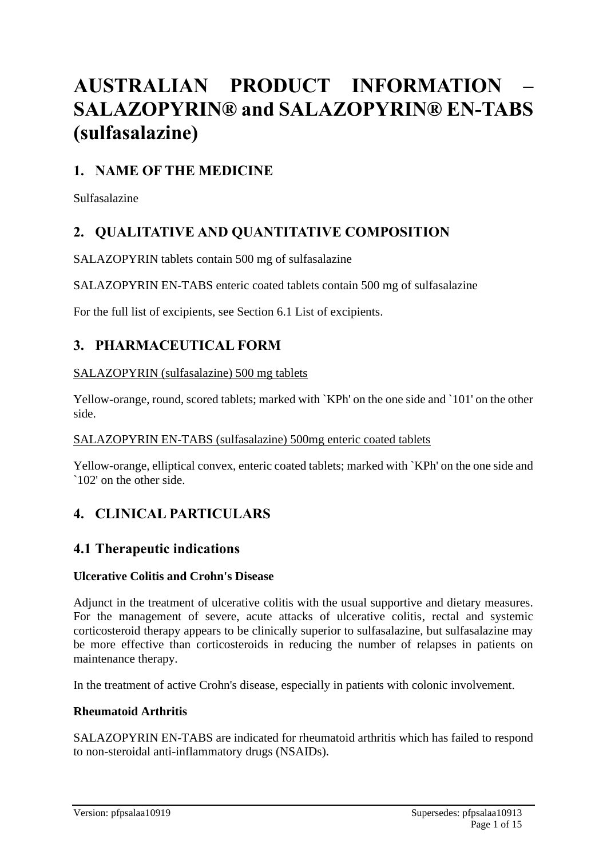# **AUSTRALIAN PRODUCT INFORMATION – SALAZOPYRIN® and SALAZOPYRIN® EN-TABS (sulfasalazine)**

# **1. NAME OF THE MEDICINE**

Sulfasalazine

# **2. QUALITATIVE AND QUANTITATIVE COMPOSITION**

SALAZOPYRIN tablets contain 500 mg of sulfasalazine

SALAZOPYRIN EN-TABS enteric coated tablets contain 500 mg of sulfasalazine

For the full list of excipients, see Section 6.1 List of excipients.

### **3. PHARMACEUTICAL FORM**

#### SALAZOPYRIN (sulfasalazine) 500 mg tablets

Yellow-orange, round, scored tablets; marked with `KPh' on the one side and `101' on the other side.

#### SALAZOPYRIN EN-TABS (sulfasalazine) 500mg enteric coated tablets

Yellow-orange, elliptical convex, enteric coated tablets; marked with `KPh' on the one side and `102' on the other side.

# **4. CLINICAL PARTICULARS**

### **4.1 Therapeutic indications**

#### **Ulcerative Colitis and Crohn's Disease**

Adjunct in the treatment of ulcerative colitis with the usual supportive and dietary measures. For the management of severe, acute attacks of ulcerative colitis, rectal and systemic corticosteroid therapy appears to be clinically superior to sulfasalazine, but sulfasalazine may be more effective than corticosteroids in reducing the number of relapses in patients on maintenance therapy.

In the treatment of active Crohn's disease, especially in patients with colonic involvement.

#### **Rheumatoid Arthritis**

SALAZOPYRIN EN-TABS are indicated for rheumatoid arthritis which has failed to respond to non-steroidal anti-inflammatory drugs (NSAIDs).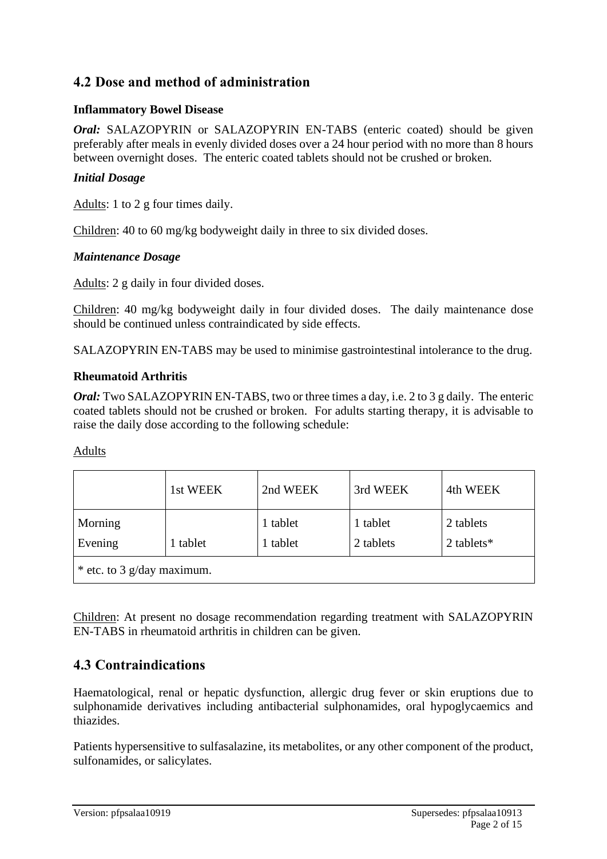# **4.2 Dose and method of administration**

### **Inflammatory Bowel Disease**

*Oral:* SALAZOPYRIN or SALAZOPYRIN EN-TABS (enteric coated) should be given preferably after meals in evenly divided doses over a 24 hour period with no more than 8 hours between overnight doses. The enteric coated tablets should not be crushed or broken.

#### *Initial Dosage*

Adults: 1 to 2 g four times daily.

Children: 40 to 60 mg/kg bodyweight daily in three to six divided doses.

#### *Maintenance Dosage*

Adults: 2 g daily in four divided doses.

Children: 40 mg/kg bodyweight daily in four divided doses. The daily maintenance dose should be continued unless contraindicated by side effects.

SALAZOPYRIN EN-TABS may be used to minimise gastrointestinal intolerance to the drug.

#### **Rheumatoid Arthritis**

*Oral:* Two SALAZOPYRIN EN-TABS, two or three times a day, i.e. 2 to 3 g daily. The enteric coated tablets should not be crushed or broken. For adults starting therapy, it is advisable to raise the daily dose according to the following schedule:

#### Adults

|                            | 1st WEEK | 2nd WEEK             | 3rd WEEK              | 4th WEEK                |
|----------------------------|----------|----------------------|-----------------------|-------------------------|
| Morning<br>Evening         | 1 tablet | 1 tablet<br>1 tablet | 1 tablet<br>2 tablets | 2 tablets<br>2 tablets* |
| * etc. to 3 g/day maximum. |          |                      |                       |                         |

Children: At present no dosage recommendation regarding treatment with SALAZOPYRIN EN-TABS in rheumatoid arthritis in children can be given.

# **4.3 Contraindications**

Haematological, renal or hepatic dysfunction, allergic drug fever or skin eruptions due to sulphonamide derivatives including antibacterial sulphonamides, oral hypoglycaemics and thiazides.

Patients hypersensitive to sulfasalazine, its metabolites, or any other component of the product, sulfonamides, or salicylates.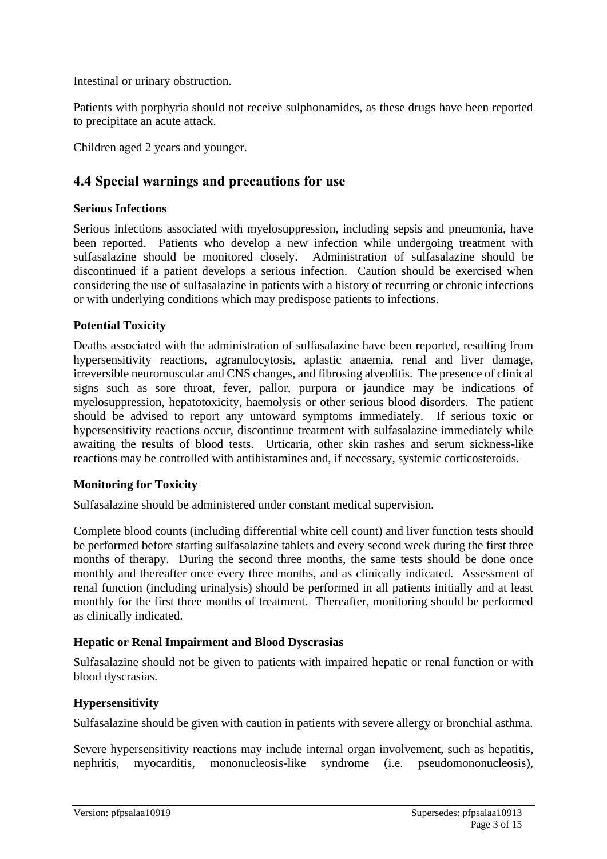Intestinal or urinary obstruction.

Patients with porphyria should not receive sulphonamides, as these drugs have been reported to precipitate an acute attack.

Children aged 2 years and younger.

# **4.4 Special warnings and precautions for use**

#### **Serious Infections**

Serious infections associated with myelosuppression, including sepsis and pneumonia, have been reported. Patients who develop a new infection while undergoing treatment with sulfasalazine should be monitored closely. Administration of sulfasalazine should be discontinued if a patient develops a serious infection. Caution should be exercised when considering the use of sulfasalazine in patients with a history of recurring or chronic infections or with underlying conditions which may predispose patients to infections.

### **Potential Toxicity**

Deaths associated with the administration of sulfasalazine have been reported, resulting from hypersensitivity reactions, agranulocytosis, aplastic anaemia, renal and liver damage, irreversible neuromuscular and CNS changes, and fibrosing alveolitis. The presence of clinical signs such as sore throat, fever, pallor, purpura or jaundice may be indications of myelosuppression, hepatotoxicity, haemolysis or other serious blood disorders. The patient should be advised to report any untoward symptoms immediately. If serious toxic or hypersensitivity reactions occur, discontinue treatment with sulfasalazine immediately while awaiting the results of blood tests. Urticaria, other skin rashes and serum sickness-like reactions may be controlled with antihistamines and, if necessary, systemic corticosteroids.

#### **Monitoring for Toxicity**

Sulfasalazine should be administered under constant medical supervision.

Complete blood counts (including differential white cell count) and liver function tests should be performed before starting sulfasalazine tablets and every second week during the first three months of therapy. During the second three months, the same tests should be done once monthly and thereafter once every three months, and as clinically indicated. Assessment of renal function (including urinalysis) should be performed in all patients initially and at least monthly for the first three months of treatment. Thereafter, monitoring should be performed as clinically indicated.

#### **Hepatic or Renal Impairment and Blood Dyscrasias**

Sulfasalazine should not be given to patients with impaired hepatic or renal function or with blood dyscrasias.

### **Hypersensitivity**

Sulfasalazine should be given with caution in patients with severe allergy or bronchial asthma.

Severe hypersensitivity reactions may include internal organ involvement, such as hepatitis, nephritis, myocarditis, mononucleosis-like syndrome (i.e. pseudomononucleosis),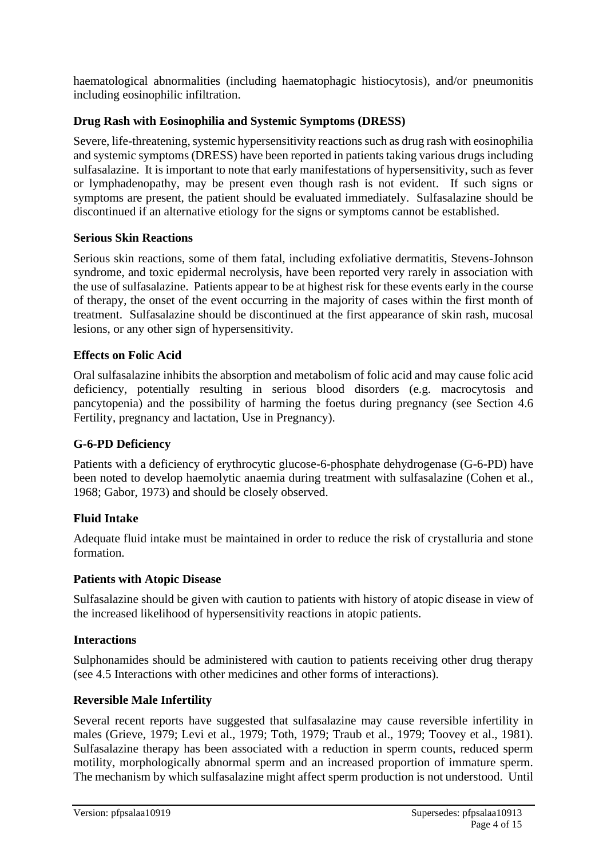haematological abnormalities (including haematophagic histiocytosis), and/or pneumonitis including eosinophilic infiltration.

### **Drug Rash with Eosinophilia and Systemic Symptoms (DRESS)**

Severe, life-threatening, systemic hypersensitivity reactions such as drug rash with eosinophilia and systemic symptoms (DRESS) have been reported in patients taking various drugs including sulfasalazine. It is important to note that early manifestations of hypersensitivity, such as fever or lymphadenopathy, may be present even though rash is not evident. If such signs or symptoms are present, the patient should be evaluated immediately. Sulfasalazine should be discontinued if an alternative etiology for the signs or symptoms cannot be established.

#### **Serious Skin Reactions**

Serious skin reactions, some of them fatal, including exfoliative dermatitis, Stevens-Johnson syndrome, and toxic epidermal necrolysis, have been reported very rarely in association with the use of sulfasalazine. Patients appear to be at highest risk for these events early in the course of therapy, the onset of the event occurring in the majority of cases within the first month of treatment. Sulfasalazine should be discontinued at the first appearance of skin rash, mucosal lesions, or any other sign of hypersensitivity.

#### **Effects on Folic Acid**

Oral sulfasalazine inhibits the absorption and metabolism of folic acid and may cause folic acid deficiency, potentially resulting in serious blood disorders (e.g. macrocytosis and pancytopenia) and the possibility of harming the foetus during pregnancy (see Section 4.6 Fertility, pregnancy and lactation, Use in Pregnancy).

#### **G-6-PD Deficiency**

Patients with a deficiency of erythrocytic glucose-6-phosphate dehydrogenase (G-6-PD) have been noted to develop haemolytic anaemia during treatment with sulfasalazine (Cohen et al., 1968; Gabor, 1973) and should be closely observed.

#### **Fluid Intake**

Adequate fluid intake must be maintained in order to reduce the risk of crystalluria and stone formation.

#### **Patients with Atopic Disease**

Sulfasalazine should be given with caution to patients with history of atopic disease in view of the increased likelihood of hypersensitivity reactions in atopic patients.

#### **Interactions**

Sulphonamides should be administered with caution to patients receiving other drug therapy (see 4.5 Interactions with other medicines and other forms of interactions).

#### **Reversible Male Infertility**

Several recent reports have suggested that sulfasalazine may cause reversible infertility in males (Grieve, 1979; Levi et al., 1979; Toth, 1979; Traub et al., 1979; Toovey et al., 1981). Sulfasalazine therapy has been associated with a reduction in sperm counts, reduced sperm motility, morphologically abnormal sperm and an increased proportion of immature sperm. The mechanism by which sulfasalazine might affect sperm production is not understood. Until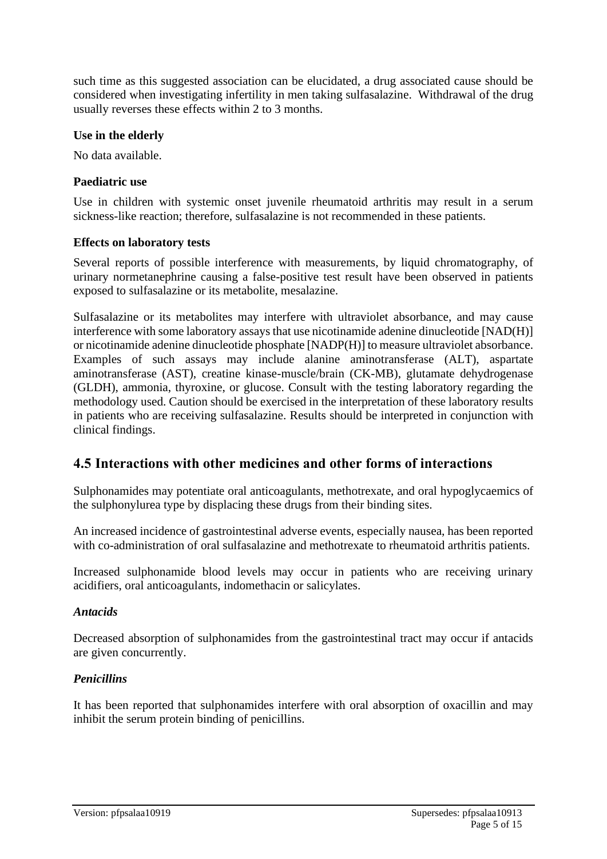such time as this suggested association can be elucidated, a drug associated cause should be considered when investigating infertility in men taking sulfasalazine. Withdrawal of the drug usually reverses these effects within 2 to 3 months.

#### **Use in the elderly**

No data available.

### **Paediatric use**

Use in children with systemic onset juvenile rheumatoid arthritis may result in a serum sickness-like reaction; therefore, sulfasalazine is not recommended in these patients.

#### **Effects on laboratory tests**

Several reports of possible interference with measurements, by liquid chromatography, of urinary normetanephrine causing a false-positive test result have been observed in patients exposed to sulfasalazine or its metabolite, mesalazine.

Sulfasalazine or its metabolites may interfere with ultraviolet absorbance, and may cause interference with some laboratory assays that use nicotinamide adenine dinucleotide [NAD(H)] or nicotinamide adenine dinucleotide phosphate [NADP(H)] to measure ultraviolet absorbance. Examples of such assays may include alanine aminotransferase (ALT), aspartate aminotransferase (AST), creatine kinase-muscle/brain (CK-MB), glutamate dehydrogenase (GLDH), ammonia, thyroxine, or glucose. Consult with the testing laboratory regarding the methodology used. Caution should be exercised in the interpretation of these laboratory results in patients who are receiving sulfasalazine. Results should be interpreted in conjunction with clinical findings.

### **4.5 Interactions with other medicines and other forms of interactions**

Sulphonamides may potentiate oral anticoagulants, methotrexate, and oral hypoglycaemics of the sulphonylurea type by displacing these drugs from their binding sites.

An increased incidence of gastrointestinal adverse events, especially nausea, has been reported with co-administration of oral sulfasalazine and methotrexate to rheumatoid arthritis patients.

Increased sulphonamide blood levels may occur in patients who are receiving urinary acidifiers, oral anticoagulants, indomethacin or salicylates.

#### *Antacids*

Decreased absorption of sulphonamides from the gastrointestinal tract may occur if antacids are given concurrently.

### *Penicillins*

It has been reported that sulphonamides interfere with oral absorption of oxacillin and may inhibit the serum protein binding of penicillins.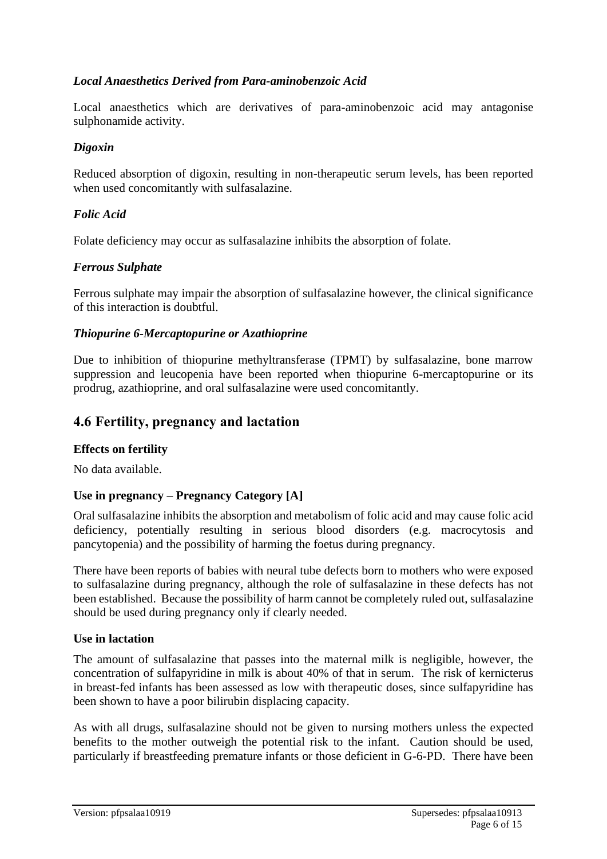### *Local Anaesthetics Derived from Para-aminobenzoic Acid*

Local anaesthetics which are derivatives of para-aminobenzoic acid may antagonise sulphonamide activity.

#### *Digoxin*

Reduced absorption of digoxin, resulting in non-therapeutic serum levels, has been reported when used concomitantly with sulfasalazine.

#### *Folic Acid*

Folate deficiency may occur as sulfasalazine inhibits the absorption of folate.

#### *Ferrous Sulphate*

Ferrous sulphate may impair the absorption of sulfasalazine however, the clinical significance of this interaction is doubtful.

#### *Thiopurine 6-Mercaptopurine or Azathioprine*

Due to inhibition of thiopurine methyltransferase (TPMT) by sulfasalazine, bone marrow suppression and leucopenia have been reported when thiopurine 6-mercaptopurine or its prodrug, azathioprine, and oral sulfasalazine were used concomitantly.

### **4.6 Fertility, pregnancy and lactation**

#### **Effects on fertility**

No data available.

#### **Use in pregnancy – Pregnancy Category [A]**

Oral sulfasalazine inhibits the absorption and metabolism of folic acid and may cause folic acid deficiency, potentially resulting in serious blood disorders (e.g. macrocytosis and pancytopenia) and the possibility of harming the foetus during pregnancy.

There have been reports of babies with neural tube defects born to mothers who were exposed to sulfasalazine during pregnancy, although the role of sulfasalazine in these defects has not been established. Because the possibility of harm cannot be completely ruled out, sulfasalazine should be used during pregnancy only if clearly needed.

#### **Use in lactation**

The amount of sulfasalazine that passes into the maternal milk is negligible, however, the concentration of sulfapyridine in milk is about 40% of that in serum. The risk of kernicterus in breast-fed infants has been assessed as low with therapeutic doses, since sulfapyridine has been shown to have a poor bilirubin displacing capacity.

As with all drugs, sulfasalazine should not be given to nursing mothers unless the expected benefits to the mother outweigh the potential risk to the infant. Caution should be used, particularly if breastfeeding premature infants or those deficient in G-6-PD. There have been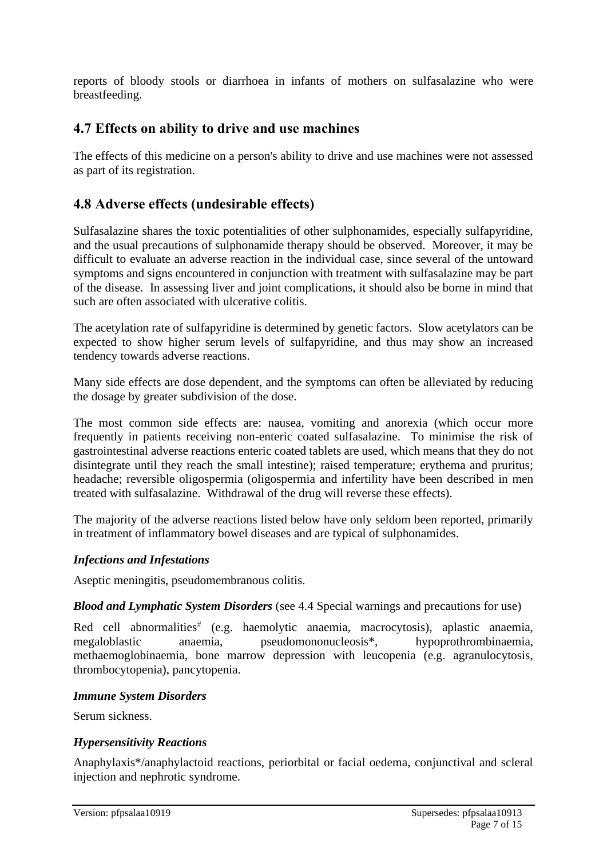reports of bloody stools or diarrhoea in infants of mothers on sulfasalazine who were breastfeeding.

# **4.7 Effects on ability to drive and use machines**

The effects of this medicine on a person's ability to drive and use machines were not assessed as part of its registration.

# **4.8 Adverse effects (undesirable effects)**

Sulfasalazine shares the toxic potentialities of other sulphonamides, especially sulfapyridine, and the usual precautions of sulphonamide therapy should be observed. Moreover, it may be difficult to evaluate an adverse reaction in the individual case, since several of the untoward symptoms and signs encountered in conjunction with treatment with sulfasalazine may be part of the disease. In assessing liver and joint complications, it should also be borne in mind that such are often associated with ulcerative colitis.

The acetylation rate of sulfapyridine is determined by genetic factors. Slow acetylators can be expected to show higher serum levels of sulfapyridine, and thus may show an increased tendency towards adverse reactions.

Many side effects are dose dependent, and the symptoms can often be alleviated by reducing the dosage by greater subdivision of the dose.

The most common side effects are: nausea, vomiting and anorexia (which occur more frequently in patients receiving non-enteric coated sulfasalazine. To minimise the risk of gastrointestinal adverse reactions enteric coated tablets are used, which means that they do not disintegrate until they reach the small intestine); raised temperature; erythema and pruritus; headache; reversible oligospermia (oligospermia and infertility have been described in men treated with sulfasalazine. Withdrawal of the drug will reverse these effects).

The majority of the adverse reactions listed below have only seldom been reported, primarily in treatment of inflammatory bowel diseases and are typical of sulphonamides.

### *Infections and Infestations*

Aseptic meningitis, pseudomembranous colitis.

#### *Blood and Lymphatic System Disorders* (see 4.4 Special warnings and precautions for use)

Red cell abnormalities (e.g. haemolytic anaemia, macrocytosis), aplastic anaemia, megaloblastic anaemia, pseudomononucleosis\*, hypoprothrombinaemia, methaemoglobinaemia, bone marrow depression with leucopenia (e.g. agranulocytosis, thrombocytopenia), pancytopenia.

#### *Immune System Disorders*

Serum sickness.

### *Hypersensitivity Reactions*

Anaphylaxis\*/anaphylactoid reactions, periorbital or facial oedema, conjunctival and scleral injection and nephrotic syndrome.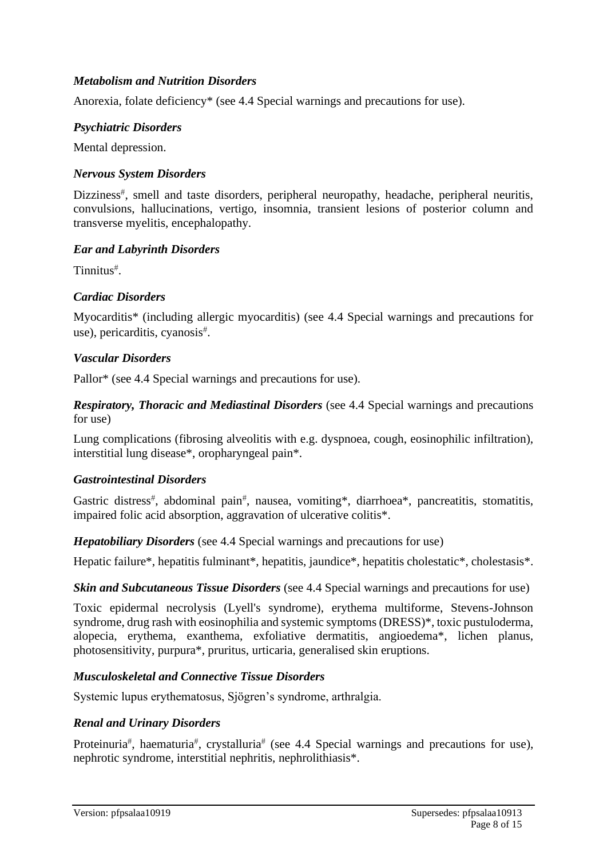### *Metabolism and Nutrition Disorders*

Anorexia, folate deficiency\* (see 4.4 Special warnings and precautions for use).

#### *Psychiatric Disorders*

Mental depression.

#### *Nervous System Disorders*

Dizziness<sup>#</sup>, smell and taste disorders, peripheral neuropathy, headache, peripheral neuritis, convulsions, hallucinations, vertigo, insomnia, transient lesions of posterior column and transverse myelitis, encephalopathy.

#### *Ear and Labyrinth Disorders*

Tinnitus .

#### *Cardiac Disorders*

Myocarditis\* (including allergic myocarditis) (see 4.4 Special warnings and precautions for use), pericarditis, cyanosis .

#### *Vascular Disorders*

Pallor\* (see 4.4 Special warnings and precautions for use).

*Respiratory, Thoracic and Mediastinal Disorders* (see 4.4 Special warnings and precautions for use)

Lung complications (fibrosing alveolitis with e.g. dyspnoea, cough, eosinophilic infiltration), interstitial lung disease\*, oropharyngeal pain\*.

#### *Gastrointestinal Disorders*

Gastric distress<sup>#</sup>, abdominal pain<sup>#</sup>, nausea, vomiting\*, diarrhoea\*, pancreatitis, stomatitis, impaired folic acid absorption, aggravation of ulcerative colitis\*.

*Hepatobiliary Disorders* (see 4.4 Special warnings and precautions for use)

Hepatic failure\*, hepatitis fulminant\*, hepatitis, jaundice\*, hepatitis cholestatic\*, cholestasis\*.

#### *Skin and Subcutaneous Tissue Disorders* (see 4.4 Special warnings and precautions for use)

Toxic epidermal necrolysis (Lyell's syndrome), erythema multiforme, Stevens-Johnson syndrome, drug rash with eosinophilia and systemic symptoms (DRESS)\*, toxic pustuloderma, alopecia, erythema, exanthema, exfoliative dermatitis, angioedema\*, lichen planus, photosensitivity, purpura\*, pruritus, urticaria, generalised skin eruptions.

### *Musculoskeletal and Connective Tissue Disorders*

Systemic lupus erythematosus, Sjögren's syndrome, arthralgia.

#### *Renal and Urinary Disorders*

Proteinuria<sup>#</sup>, haematuria<sup>#</sup>, crystalluria<sup>#</sup> (see 4.4 Special warnings and precautions for use), nephrotic syndrome, interstitial nephritis, nephrolithiasis\*.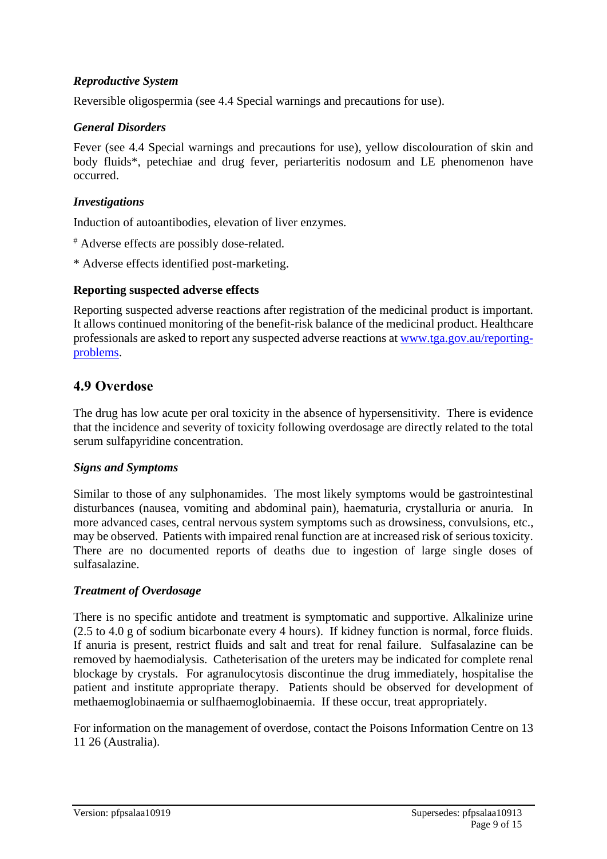### *Reproductive System*

Reversible oligospermia (see 4.4 Special warnings and precautions for use).

#### *General Disorders*

Fever (see 4.4 Special warnings and precautions for use), yellow discolouration of skin and body fluids\*, petechiae and drug fever, periarteritis nodosum and LE phenomenon have occurred.

#### *Investigations*

Induction of autoantibodies, elevation of liver enzymes.

- Adverse effects are possibly dose-related.
- \* Adverse effects identified post-marketing.

#### **Reporting suspected adverse effects**

Reporting suspected adverse reactions after registration of the medicinal product is important. It allows continued monitoring of the benefit-risk balance of the medicinal product. Healthcare professionals are asked to report any suspected adverse reactions at [www.tga.gov.au/reporting](http://www.tga.gov.au/reporting-problems)[problems.](http://www.tga.gov.au/reporting-problems)

### **4.9 Overdose**

The drug has low acute per oral toxicity in the absence of hypersensitivity. There is evidence that the incidence and severity of toxicity following overdosage are directly related to the total serum sulfapyridine concentration.

#### *Signs and Symptoms*

Similar to those of any sulphonamides. The most likely symptoms would be gastrointestinal disturbances (nausea, vomiting and abdominal pain), haematuria, crystalluria or anuria. In more advanced cases, central nervous system symptoms such as drowsiness, convulsions, etc., may be observed. Patients with impaired renal function are at increased risk of serious toxicity. There are no documented reports of deaths due to ingestion of large single doses of sulfasalazine.

#### *Treatment of Overdosage*

There is no specific antidote and treatment is symptomatic and supportive. Alkalinize urine (2.5 to 4.0 g of sodium bicarbonate every 4 hours). If kidney function is normal, force fluids. If anuria is present, restrict fluids and salt and treat for renal failure. Sulfasalazine can be removed by haemodialysis. Catheterisation of the ureters may be indicated for complete renal blockage by crystals. For agranulocytosis discontinue the drug immediately, hospitalise the patient and institute appropriate therapy. Patients should be observed for development of methaemoglobinaemia or sulfhaemoglobinaemia. If these occur, treat appropriately.

For information on the management of overdose, contact the Poisons Information Centre on 13 11 26 (Australia).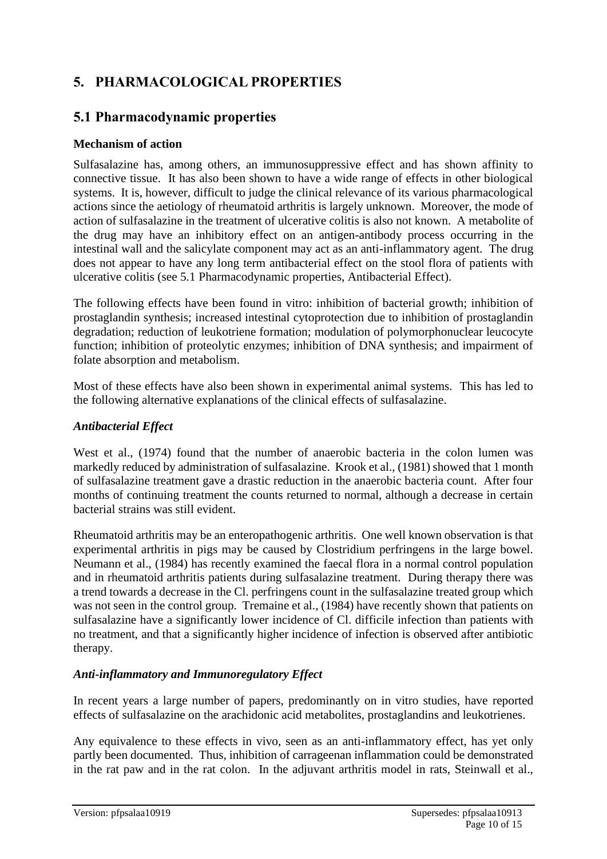# **5. PHARMACOLOGICAL PROPERTIES**

# **5.1 Pharmacodynamic properties**

### **Mechanism of action**

Sulfasalazine has, among others, an immunosuppressive effect and has shown affinity to connective tissue. It has also been shown to have a wide range of effects in other biological systems. It is, however, difficult to judge the clinical relevance of its various pharmacological actions since the aetiology of rheumatoid arthritis is largely unknown. Moreover, the mode of action of sulfasalazine in the treatment of ulcerative colitis is also not known. A metabolite of the drug may have an inhibitory effect on an antigen-antibody process occurring in the intestinal wall and the salicylate component may act as an anti-inflammatory agent. The drug does not appear to have any long term antibacterial effect on the stool flora of patients with ulcerative colitis (see 5.1 Pharmacodynamic properties, Antibacterial Effect).

The following effects have been found in vitro: inhibition of bacterial growth; inhibition of prostaglandin synthesis; increased intestinal cytoprotection due to inhibition of prostaglandin degradation; reduction of leukotriene formation; modulation of polymorphonuclear leucocyte function; inhibition of proteolytic enzymes; inhibition of DNA synthesis; and impairment of folate absorption and metabolism.

Most of these effects have also been shown in experimental animal systems. This has led to the following alternative explanations of the clinical effects of sulfasalazine.

### *Antibacterial Effect*

West et al., (1974) found that the number of anaerobic bacteria in the colon lumen was markedly reduced by administration of sulfasalazine. Krook et al., (1981) showed that 1 month of sulfasalazine treatment gave a drastic reduction in the anaerobic bacteria count. After four months of continuing treatment the counts returned to normal, although a decrease in certain bacterial strains was still evident.

Rheumatoid arthritis may be an enteropathogenic arthritis. One well known observation is that experimental arthritis in pigs may be caused by Clostridium perfringens in the large bowel. Neumann et al., (1984) has recently examined the faecal flora in a normal control population and in rheumatoid arthritis patients during sulfasalazine treatment. During therapy there was a trend towards a decrease in the Cl. perfringens count in the sulfasalazine treated group which was not seen in the control group. Tremaine et al., (1984) have recently shown that patients on sulfasalazine have a significantly lower incidence of Cl. difficile infection than patients with no treatment, and that a significantly higher incidence of infection is observed after antibiotic therapy.

### *Anti-inflammatory and Immunoregulatory Effect*

In recent years a large number of papers, predominantly on in vitro studies, have reported effects of sulfasalazine on the arachidonic acid metabolites, prostaglandins and leukotrienes.

Any equivalence to these effects in vivo, seen as an anti-inflammatory effect, has yet only partly been documented. Thus, inhibition of carrageenan inflammation could be demonstrated in the rat paw and in the rat colon. In the adjuvant arthritis model in rats, Steinwall et al.,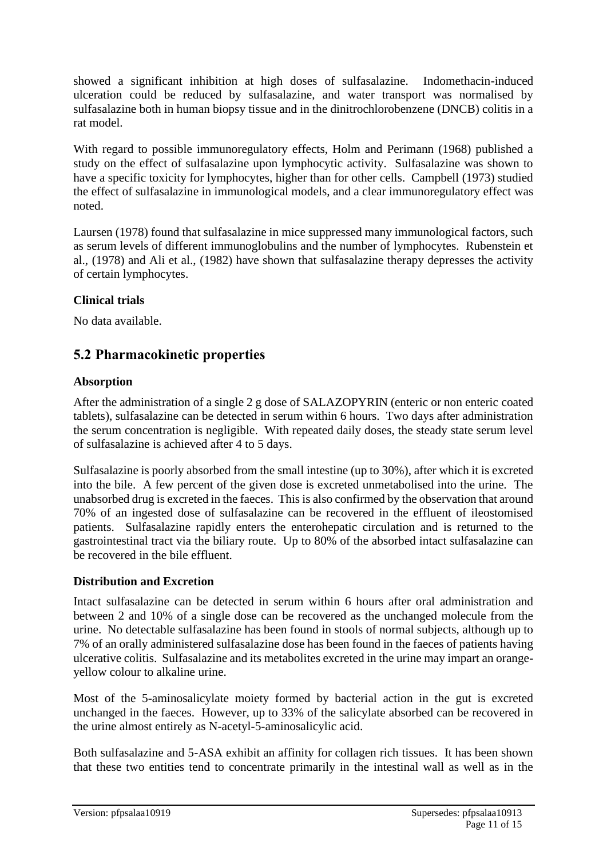showed a significant inhibition at high doses of sulfasalazine. Indomethacin-induced ulceration could be reduced by sulfasalazine, and water transport was normalised by sulfasalazine both in human biopsy tissue and in the dinitrochlorobenzene (DNCB) colitis in a rat model.

With regard to possible immunoregulatory effects, Holm and Perimann (1968) published a study on the effect of sulfasalazine upon lymphocytic activity. Sulfasalazine was shown to have a specific toxicity for lymphocytes, higher than for other cells. Campbell (1973) studied the effect of sulfasalazine in immunological models, and a clear immunoregulatory effect was noted.

Laursen (1978) found that sulfasalazine in mice suppressed many immunological factors, such as serum levels of different immunoglobulins and the number of lymphocytes. Rubenstein et al., (1978) and Ali et al., (1982) have shown that sulfasalazine therapy depresses the activity of certain lymphocytes.

### **Clinical trials**

No data available.

### **5.2 Pharmacokinetic properties**

#### **Absorption**

After the administration of a single 2 g dose of SALAZOPYRIN (enteric or non enteric coated tablets), sulfasalazine can be detected in serum within 6 hours. Two days after administration the serum concentration is negligible. With repeated daily doses, the steady state serum level of sulfasalazine is achieved after 4 to 5 days.

Sulfasalazine is poorly absorbed from the small intestine (up to 30%), after which it is excreted into the bile. A few percent of the given dose is excreted unmetabolised into the urine. The unabsorbed drug is excreted in the faeces. This is also confirmed by the observation that around 70% of an ingested dose of sulfasalazine can be recovered in the effluent of ileostomised patients. Sulfasalazine rapidly enters the enterohepatic circulation and is returned to the gastrointestinal tract via the biliary route. Up to 80% of the absorbed intact sulfasalazine can be recovered in the bile effluent.

#### **Distribution and Excretion**

Intact sulfasalazine can be detected in serum within 6 hours after oral administration and between 2 and 10% of a single dose can be recovered as the unchanged molecule from the urine. No detectable sulfasalazine has been found in stools of normal subjects, although up to 7% of an orally administered sulfasalazine dose has been found in the faeces of patients having ulcerative colitis. Sulfasalazine and its metabolites excreted in the urine may impart an orangeyellow colour to alkaline urine.

Most of the 5-aminosalicylate moiety formed by bacterial action in the gut is excreted unchanged in the faeces. However, up to 33% of the salicylate absorbed can be recovered in the urine almost entirely as N-acetyl-5-aminosalicylic acid.

Both sulfasalazine and 5-ASA exhibit an affinity for collagen rich tissues. It has been shown that these two entities tend to concentrate primarily in the intestinal wall as well as in the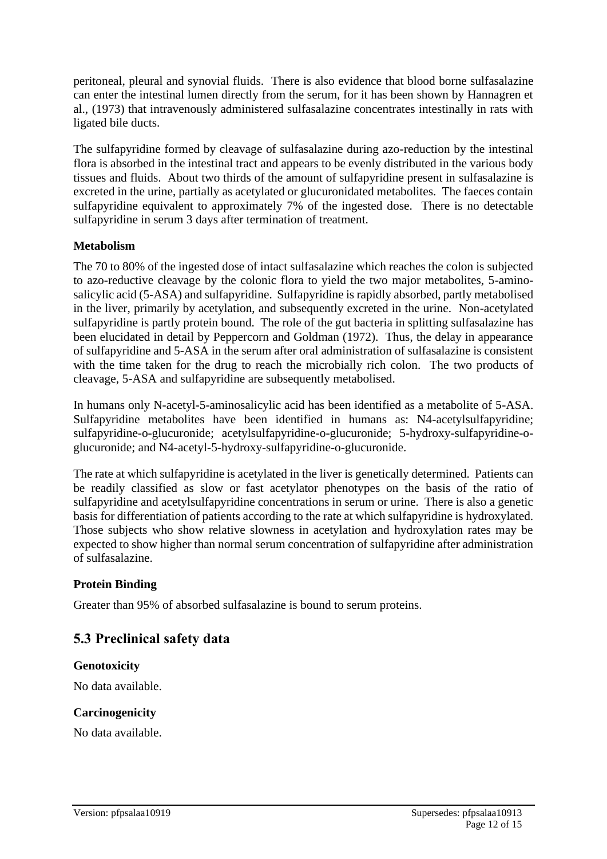peritoneal, pleural and synovial fluids. There is also evidence that blood borne sulfasalazine can enter the intestinal lumen directly from the serum, for it has been shown by Hannagren et al., (1973) that intravenously administered sulfasalazine concentrates intestinally in rats with ligated bile ducts.

The sulfapyridine formed by cleavage of sulfasalazine during azo-reduction by the intestinal flora is absorbed in the intestinal tract and appears to be evenly distributed in the various body tissues and fluids. About two thirds of the amount of sulfapyridine present in sulfasalazine is excreted in the urine, partially as acetylated or glucuronidated metabolites. The faeces contain sulfapyridine equivalent to approximately 7% of the ingested dose. There is no detectable sulfapyridine in serum 3 days after termination of treatment.

#### **Metabolism**

The 70 to 80% of the ingested dose of intact sulfasalazine which reaches the colon is subjected to azo-reductive cleavage by the colonic flora to yield the two major metabolites, 5-aminosalicylic acid (5-ASA) and sulfapyridine. Sulfapyridine is rapidly absorbed, partly metabolised in the liver, primarily by acetylation, and subsequently excreted in the urine. Non-acetylated sulfapyridine is partly protein bound. The role of the gut bacteria in splitting sulfasalazine has been elucidated in detail by Peppercorn and Goldman (1972). Thus, the delay in appearance of sulfapyridine and 5-ASA in the serum after oral administration of sulfasalazine is consistent with the time taken for the drug to reach the microbially rich colon. The two products of cleavage, 5-ASA and sulfapyridine are subsequently metabolised.

In humans only N-acetyl-5-aminosalicylic acid has been identified as a metabolite of 5-ASA. Sulfapyridine metabolites have been identified in humans as: N4-acetylsulfapyridine; sulfapyridine-o-glucuronide; acetylsulfapyridine-o-glucuronide; 5-hydroxy-sulfapyridine-oglucuronide; and N4-acetyl-5-hydroxy-sulfapyridine-o-glucuronide.

The rate at which sulfapyridine is acetylated in the liver is genetically determined. Patients can be readily classified as slow or fast acetylator phenotypes on the basis of the ratio of sulfapyridine and acetylsulfapyridine concentrations in serum or urine. There is also a genetic basis for differentiation of patients according to the rate at which sulfapyridine is hydroxylated. Those subjects who show relative slowness in acetylation and hydroxylation rates may be expected to show higher than normal serum concentration of sulfapyridine after administration of sulfasalazine.

### **Protein Binding**

Greater than 95% of absorbed sulfasalazine is bound to serum proteins.

# **5.3 Preclinical safety data**

#### **Genotoxicity**

No data available.

#### **Carcinogenicity**

No data available.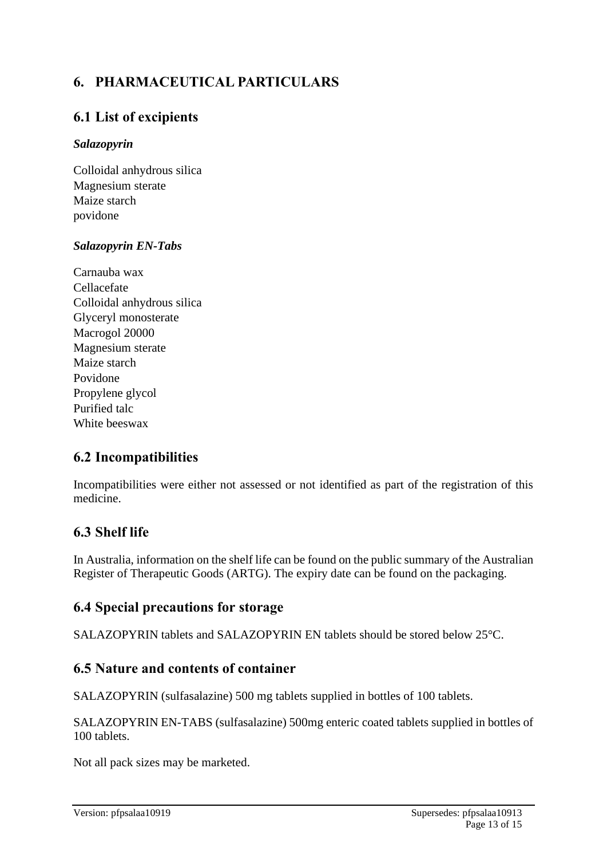# **6. PHARMACEUTICAL PARTICULARS**

# **6.1 List of excipients**

### *Salazopyrin*

Colloidal anhydrous silica Magnesium sterate Maize starch povidone

### *Salazopyrin EN-Tabs*

Carnauba wax Cellacefate Colloidal anhydrous silica Glyceryl monosterate Macrogol 20000 Magnesium sterate Maize starch Povidone Propylene glycol Purified talc White beeswax

# **6.2 Incompatibilities**

Incompatibilities were either not assessed or not identified as part of the registration of this medicine.

# **6.3 Shelf life**

In Australia, information on the shelf life can be found on the public summary of the Australian Register of Therapeutic Goods (ARTG). The expiry date can be found on the packaging.

# **6.4 Special precautions for storage**

SALAZOPYRIN tablets and SALAZOPYRIN EN tablets should be stored below 25°C.

# **6.5 Nature and contents of container**

SALAZOPYRIN (sulfasalazine) 500 mg tablets supplied in bottles of 100 tablets.

SALAZOPYRIN EN-TABS (sulfasalazine) 500mg enteric coated tablets supplied in bottles of 100 tablets.

Not all pack sizes may be marketed.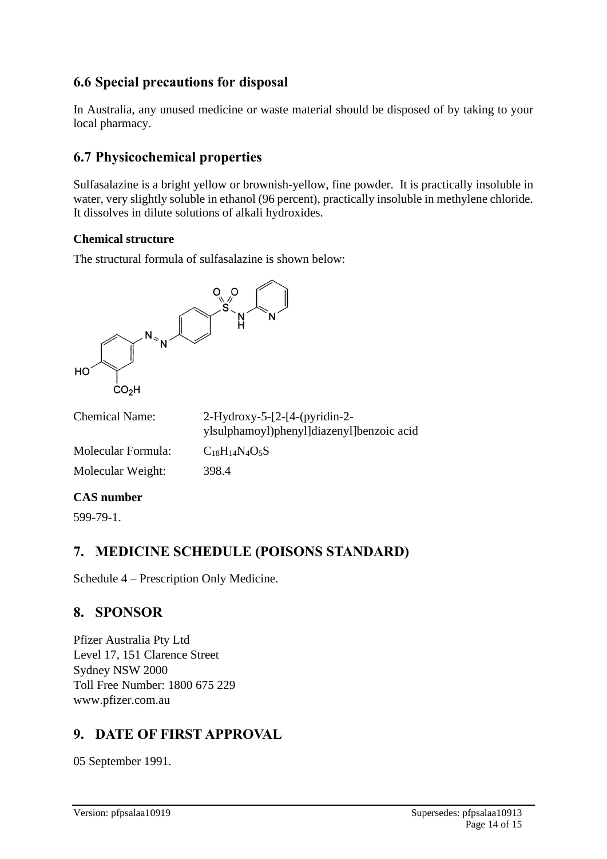# **6.6 Special precautions for disposal**

In Australia, any unused medicine or waste material should be disposed of by taking to your local pharmacy.

# **6.7 Physicochemical properties**

Sulfasalazine is a bright yellow or brownish-yellow, fine powder. It is practically insoluble in water, very slightly soluble in ethanol (96 percent), practically insoluble in methylene chloride. It dissolves in dilute solutions of alkali hydroxides.

#### **Chemical structure**

The structural formula of sulfasalazine is shown below:



| <b>Chemical Name:</b>       | $2-Hydroxy-5-[2-[4-(pyridin-2-$<br>ylsulphamoyl)phenyl]diazenyl]benzoic acid |
|-----------------------------|------------------------------------------------------------------------------|
| Molecular Formula:          | $C_{18}H_{14}N_4O_5S$                                                        |
| Molecular Weight:           | 398.4                                                                        |
| $C_{\Lambda}C_{\rm numhom}$ |                                                                              |

### **CAS number**

599-79-1.

# **7. MEDICINE SCHEDULE (POISONS STANDARD)**

Schedule 4 – Prescription Only Medicine.

# **8. SPONSOR**

Pfizer Australia Pty Ltd Level 17, 151 Clarence Street Sydney NSW 2000 Toll Free Number: 1800 675 229 www.pfizer.com.au

# **9. DATE OF FIRST APPROVAL**

05 September 1991.